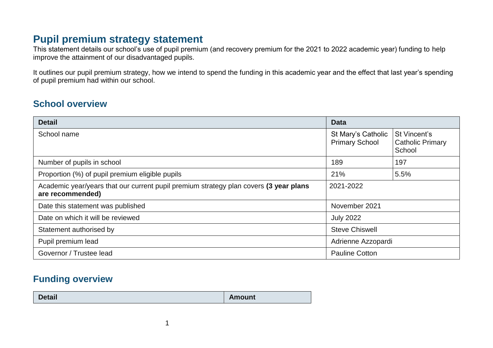# **Pupil premium strategy statement**

This statement details our school's use of pupil premium (and recovery premium for the 2021 to 2022 academic year) funding to help improve the attainment of our disadvantaged pupils.

It outlines our pupil premium strategy, how we intend to spend the funding in this academic year and the effect that last year's spending of pupil premium had within our school.

## **School overview**

| <b>Detail</b>                                                                                             | <b>Data</b>                                                                                      |     |  |
|-----------------------------------------------------------------------------------------------------------|--------------------------------------------------------------------------------------------------|-----|--|
| School name                                                                                               | St Mary's Catholic<br>St Vincent's<br><b>Primary School</b><br><b>Catholic Primary</b><br>School |     |  |
| Number of pupils in school                                                                                | 189                                                                                              | 197 |  |
| Proportion (%) of pupil premium eligible pupils                                                           | 21%<br>5.5%                                                                                      |     |  |
| Academic year/years that our current pupil premium strategy plan covers (3 year plans<br>are recommended) | 2021-2022                                                                                        |     |  |
| Date this statement was published                                                                         | November 2021                                                                                    |     |  |
| Date on which it will be reviewed                                                                         | <b>July 2022</b>                                                                                 |     |  |
| Statement authorised by                                                                                   | <b>Steve Chiswell</b>                                                                            |     |  |
| Pupil premium lead                                                                                        | Adrienne Azzopardi                                                                               |     |  |
| Governor / Trustee lead                                                                                   | <b>Pauline Cotton</b>                                                                            |     |  |

## **Funding overview**

|  | <b>Detail</b> | <b>Amount</b> |
|--|---------------|---------------|
|--|---------------|---------------|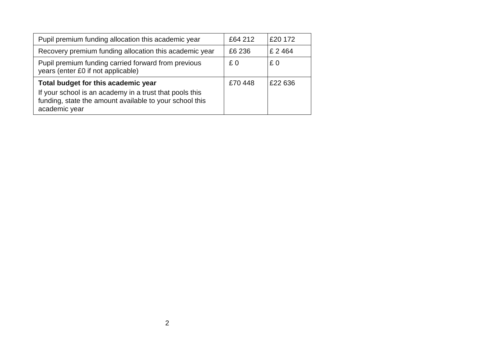| Pupil premium funding allocation this academic year                                                                                 | £64 212 | £20 172   |
|-------------------------------------------------------------------------------------------------------------------------------------|---------|-----------|
| Recovery premium funding allocation this academic year                                                                              | £6 236  | £ 2 4 6 4 |
| Pupil premium funding carried forward from previous<br>years (enter £0 if not applicable)                                           | £0      | £0        |
| Total budget for this academic year                                                                                                 | £70448  | £22 636   |
| If your school is an academy in a trust that pools this<br>funding, state the amount available to your school this<br>academic year |         |           |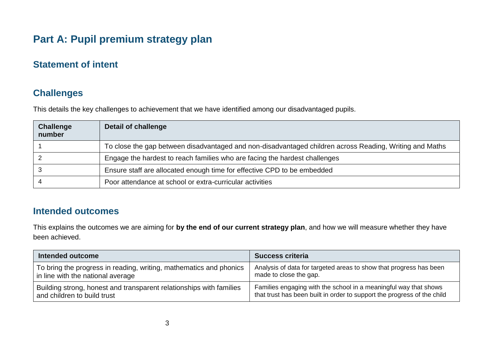# **Part A: Pupil premium strategy plan**

## **Statement of intent**

## **Challenges**

This details the key challenges to achievement that we have identified among our disadvantaged pupils.

| <b>Challenge</b><br>number | Detail of challenge                                                                                     |
|----------------------------|---------------------------------------------------------------------------------------------------------|
|                            | To close the gap between disadvantaged and non-disadvantaged children across Reading, Writing and Maths |
|                            | Engage the hardest to reach families who are facing the hardest challenges                              |
|                            | Ensure staff are allocated enough time for effective CPD to be embedded                                 |
|                            | Poor attendance at school or extra-curricular activities                                                |

#### **Intended outcomes**

This explains the outcomes we are aiming for **by the end of our current strategy plan**, and how we will measure whether they have been achieved.

| <b>Intended outcome</b>                                             | <b>Success criteria</b>                                                 |
|---------------------------------------------------------------------|-------------------------------------------------------------------------|
| To bring the progress in reading, writing, mathematics and phonics  | Analysis of data for targeted areas to show that progress has been      |
| in line with the national average                                   | made to close the gap.                                                  |
| Building strong, honest and transparent relationships with families | Families engaging with the school in a meaningful way that shows        |
| and children to build trust                                         | that trust has been built in order to support the progress of the child |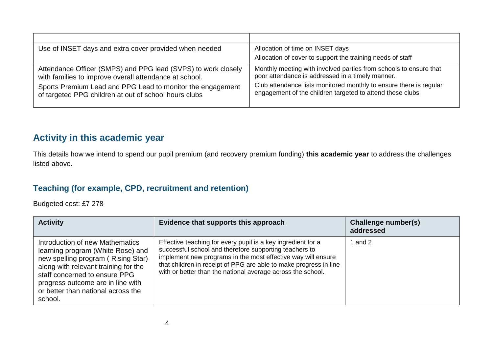| Use of INSET days and extra cover provided when needed                                                                                                                                                                                         | Allocation of time on INSET days                                                                                                                                                                                                                         |
|------------------------------------------------------------------------------------------------------------------------------------------------------------------------------------------------------------------------------------------------|----------------------------------------------------------------------------------------------------------------------------------------------------------------------------------------------------------------------------------------------------------|
|                                                                                                                                                                                                                                                | Allocation of cover to support the training needs of staff                                                                                                                                                                                               |
| Attendance Officer (SMPS) and PPG lead (SVPS) to work closely<br>with families to improve overall attendance at school.<br>Sports Premium Lead and PPG Lead to monitor the engagement<br>of targeted PPG children at out of school hours clubs | Monthly meeting with involved parties from schools to ensure that<br>poor attendance is addressed in a timely manner.<br>Club attendance lists monitored monthly to ensure there is regular<br>engagement of the children targeted to attend these clubs |

## **Activity in this academic year**

This details how we intend to spend our pupil premium (and recovery premium funding) **this academic year** to address the challenges listed above.

#### **Teaching (for example, CPD, recruitment and retention)**

Budgeted cost: £7 278

| <b>Activity</b>                                                                                                                                                                                                                                                           | Evidence that supports this approach                                                                                                                                                                                                                                                                                       | <b>Challenge number(s)</b><br>addressed |
|---------------------------------------------------------------------------------------------------------------------------------------------------------------------------------------------------------------------------------------------------------------------------|----------------------------------------------------------------------------------------------------------------------------------------------------------------------------------------------------------------------------------------------------------------------------------------------------------------------------|-----------------------------------------|
| Introduction of new Mathematics<br>learning program (White Rose) and<br>new spelling program (Rising Star)<br>along with relevant training for the<br>staff concerned to ensure PPG<br>progress outcome are in line with<br>or better than national across the<br>school. | Effective teaching for every pupil is a key ingredient for a<br>successful school and therefore supporting teachers to<br>implement new programs in the most effective way will ensure<br>that children in receipt of PPG are able to make progress in line<br>with or better than the national average across the school. | $\mid$ and 2                            |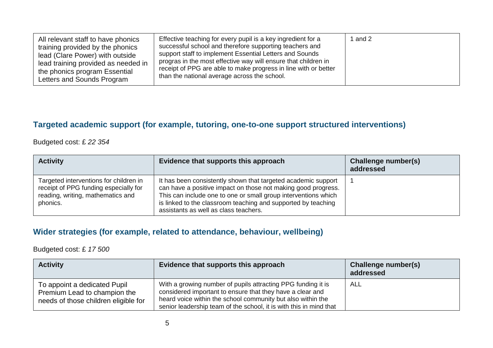| All relevant staff to have phonics<br>training provided by the phonics<br>lead (Clare Power) with outside<br>lead training provided as needed in<br>the phonics program Essential<br>Letters and Sounds Program | Effective teaching for every pupil is a key ingredient for a<br>successful school and therefore supporting teachers and<br>support staff to implement Essential Letters and Sounds<br>progras in the most effective way will ensure that children in<br>receipt of PPG are able to make progress in line with or better<br>than the national average across the school. | and 2 |
|-----------------------------------------------------------------------------------------------------------------------------------------------------------------------------------------------------------------|-------------------------------------------------------------------------------------------------------------------------------------------------------------------------------------------------------------------------------------------------------------------------------------------------------------------------------------------------------------------------|-------|
|-----------------------------------------------------------------------------------------------------------------------------------------------------------------------------------------------------------------|-------------------------------------------------------------------------------------------------------------------------------------------------------------------------------------------------------------------------------------------------------------------------------------------------------------------------------------------------------------------------|-------|

## **Targeted academic support (for example, tutoring, one-to-one support structured interventions)**

Budgeted cost: £ *22 354*

| <b>Activity</b>                                                                                                                  | Evidence that supports this approach                                                                                                                                                                                                                                                                       | Challenge number(s)<br>addressed |
|----------------------------------------------------------------------------------------------------------------------------------|------------------------------------------------------------------------------------------------------------------------------------------------------------------------------------------------------------------------------------------------------------------------------------------------------------|----------------------------------|
| Targeted interventions for children in<br>receipt of PPG funding especially for<br>reading, writing, mathematics and<br>phonics. | It has been consistently shown that targeted academic support<br>can have a positive impact on those not making good progress.<br>This can include one to one or small group interventions which<br>is linked to the classroom teaching and supported by teaching<br>assistants as well as class teachers. |                                  |

#### **Wider strategies (for example, related to attendance, behaviour, wellbeing)**

Budgeted cost: £ *17 500*

| <b>Activity</b>                                                                                      | Evidence that supports this approach                                                                                                                                                                                                                           | <b>Challenge number(s)</b><br>addressed |
|------------------------------------------------------------------------------------------------------|----------------------------------------------------------------------------------------------------------------------------------------------------------------------------------------------------------------------------------------------------------------|-----------------------------------------|
| To appoint a dedicated Pupil<br>Premium Lead to champion the<br>needs of those children eligible for | With a growing number of pupils attracting PPG funding it is<br>considered important to ensure that they have a clear and<br>heard voice within the school community but also within the<br>senior leadership team of the school, it is with this in mind that | <b>ALL</b>                              |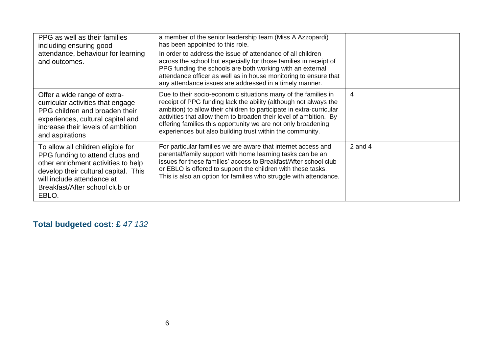| PPG as well as their families<br>including ensuring good<br>attendance, behaviour for learning<br>and outcomes.                                                                                                               | a member of the senior leadership team (Miss A Azzopardi)<br>has been appointed to this role.<br>In order to address the issue of attendance of all children<br>across the school but especially for those families in receipt of<br>PPG funding the schools are both working with an external<br>attendance officer as well as in house monitoring to ensure that<br>any attendance issues are addressed in a timely manner. |           |
|-------------------------------------------------------------------------------------------------------------------------------------------------------------------------------------------------------------------------------|-------------------------------------------------------------------------------------------------------------------------------------------------------------------------------------------------------------------------------------------------------------------------------------------------------------------------------------------------------------------------------------------------------------------------------|-----------|
| Offer a wide range of extra-<br>curricular activities that engage<br>PPG children and broaden their<br>experiences, cultural capital and<br>increase their levels of ambition<br>and aspirations                              | Due to their socio-economic situations many of the families in<br>receipt of PPG funding lack the ability (although not always the<br>ambition) to allow their children to participate in extra-curricular<br>activities that allow them to broaden their level of ambition. By<br>offering families this opportunity we are not only broadening<br>experiences but also building trust within the community.                 | 4         |
| To allow all children eligible for<br>PPG funding to attend clubs and<br>other enrichment activities to help<br>develop their cultural capital. This<br>will include attendance at<br>Breakfast/After school club or<br>EBLO. | For particular families we are aware that internet access and<br>parental/family support with home learning tasks can be an<br>issues for these families' access to Breakfast/After school club<br>or EBLO is offered to support the children with these tasks.<br>This is also an option for families who struggle with attendance.                                                                                          | 2 and $4$ |

## **Total budgeted cost: £** *47 132*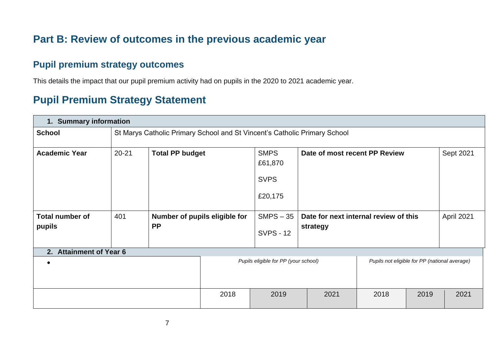# **Part B: Review of outcomes in the previous academic year**

## **Pupil premium strategy outcomes**

This details the impact that our pupil premium activity had on pupils in the 2020 to 2021 academic year.

# **Pupil Premium Strategy Statement**

| 1. Summary information           |           |                                                                           |              |                                                  |                                                   |                                               |      |            |
|----------------------------------|-----------|---------------------------------------------------------------------------|--------------|--------------------------------------------------|---------------------------------------------------|-----------------------------------------------|------|------------|
| <b>School</b>                    |           | St Marys Catholic Primary School and St Vincent's Catholic Primary School |              |                                                  |                                                   |                                               |      |            |
| <b>Academic Year</b>             | $20 - 21$ | <b>Total PP budget</b>                                                    |              | <b>SMPS</b><br>£61,870<br><b>SVPS</b><br>£20,175 | Date of most recent PP Review                     |                                               |      | Sept 2021  |
| <b>Total number of</b><br>pupils | 401       | Number of pupils eligible for<br><b>PP</b>                                |              | $SMPS - 35$<br><b>SVPS - 12</b>                  | Date for next internal review of this<br>strategy |                                               |      | April 2021 |
| 2. Attainment of Year 6          |           |                                                                           |              |                                                  |                                                   |                                               |      |            |
| $\bullet$                        |           |                                                                           |              | Pupils eligible for PP (your school)             |                                                   | Pupils not eligible for PP (national average) |      |            |
|                                  |           |                                                                           | 2018<br>2019 |                                                  | 2021                                              | 2018                                          | 2019 | 2021       |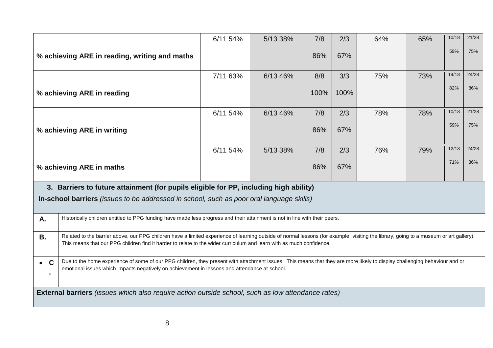|             |                                                                                                                                                                                                                                                                                                               | 6/11 54% | 5/13 38% | 7/8  | 2/3  | 64% | 65% | 10/18 | 21/28 |
|-------------|---------------------------------------------------------------------------------------------------------------------------------------------------------------------------------------------------------------------------------------------------------------------------------------------------------------|----------|----------|------|------|-----|-----|-------|-------|
|             | % achieving ARE in reading, writing and maths                                                                                                                                                                                                                                                                 |          |          | 86%  | 67%  |     |     | 59%   | 75%   |
|             |                                                                                                                                                                                                                                                                                                               | 7/11 63% | 6/13 46% | 8/8  | 3/3  | 75% | 73% | 14/18 | 24/28 |
|             | % achieving ARE in reading                                                                                                                                                                                                                                                                                    |          |          | 100% | 100% |     |     | 82%   | 86%   |
|             |                                                                                                                                                                                                                                                                                                               | 6/11 54% | 6/13 46% | 7/8  | 2/3  | 78% | 78% | 10/18 | 21/28 |
|             | % achieving ARE in writing                                                                                                                                                                                                                                                                                    |          |          | 86%  | 67%  |     |     | 59%   | 75%   |
|             |                                                                                                                                                                                                                                                                                                               | 6/11 54% | 5/13 38% | 7/8  | 2/3  | 76% | 79% | 12/18 | 24/28 |
|             | 71%<br>86%<br>86%<br>67%<br>% achieving ARE in maths                                                                                                                                                                                                                                                          |          |          |      |      |     |     |       |       |
|             | 3. Barriers to future attainment (for pupils eligible for PP, including high ability)                                                                                                                                                                                                                         |          |          |      |      |     |     |       |       |
|             | In-school barriers (issues to be addressed in school, such as poor oral language skills)                                                                                                                                                                                                                      |          |          |      |      |     |     |       |       |
| А.          | Historically children entitled to PPG funding have made less progress and their attainment is not in line with their peers.                                                                                                                                                                                   |          |          |      |      |     |     |       |       |
| <b>B.</b>   | Related to the barrier above, our PPG children have a limited experience of learning outside of normal lessons (for example, visiting the library, going to a museum or art gallery).<br>This means that our PPG children find it harder to relate to the wider curriculum and learn with as much confidence. |          |          |      |      |     |     |       |       |
| $\bullet$ C | Due to the home experience of some of our PPG children, they present with attachment issues. This means that they are more likely to display challenging behaviour and or<br>emotional issues which impacts negatively on achievement in lessons and attendance at school.                                    |          |          |      |      |     |     |       |       |
|             | <b>External barriers</b> (issues which also require action outside school, such as low attendance rates)                                                                                                                                                                                                      |          |          |      |      |     |     |       |       |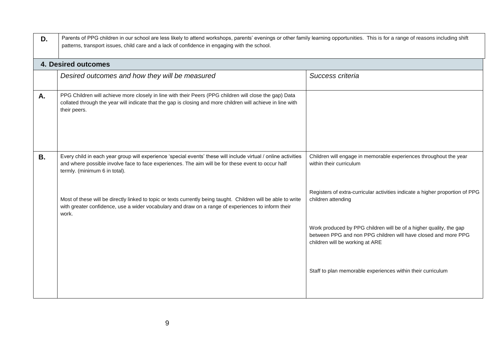| D. | Parents of PPG children in our school are less likely to attend workshops, parents' evenings or other family learning opportunities. This is for a range of reasons including shift<br>patterns, transport issues, child care and a lack of confidence in engaging with the school. |                                                                                                                                                                         |  |  |  |  |
|----|-------------------------------------------------------------------------------------------------------------------------------------------------------------------------------------------------------------------------------------------------------------------------------------|-------------------------------------------------------------------------------------------------------------------------------------------------------------------------|--|--|--|--|
|    | <b>4. Desired outcomes</b>                                                                                                                                                                                                                                                          |                                                                                                                                                                         |  |  |  |  |
|    | Desired outcomes and how they will be measured                                                                                                                                                                                                                                      | Success criteria                                                                                                                                                        |  |  |  |  |
| Α. | PPG Children will achieve more closely in line with their Peers (PPG children will close the gap) Data<br>collated through the year will indicate that the gap is closing and more children will achieve in line with<br>their peers.                                               |                                                                                                                                                                         |  |  |  |  |
| В. | Every child in each year group will experience 'special events' these will include virtual / online activities<br>and where possible involve face to face experiences. The aim will be for these event to occur half<br>termly. (minimum 6 in total).                               | Children will engage in memorable experiences throughout the year<br>within their curriculum                                                                            |  |  |  |  |
|    | Most of these will be directly linked to topic or texts currently being taught. Children will be able to write<br>with greater confidence, use a wider vocabulary and draw on a range of experiences to inform their<br>work.                                                       | Registers of extra-curricular activities indicate a higher proportion of PPG<br>children attending                                                                      |  |  |  |  |
|    |                                                                                                                                                                                                                                                                                     | Work produced by PPG children will be of a higher quality, the gap<br>between PPG and non PPG children will have closed and more PPG<br>children will be working at ARE |  |  |  |  |
|    |                                                                                                                                                                                                                                                                                     | Staff to plan memorable experiences within their curriculum                                                                                                             |  |  |  |  |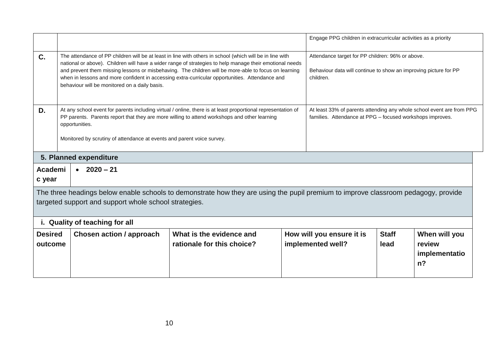|                           |                                                                                          |                                                                                                                                                                                                                                                                                                                                                                                                                               | Engage PPG children in extracurricular activities as a priority                                                                   |                      |                                                                       |
|---------------------------|------------------------------------------------------------------------------------------|-------------------------------------------------------------------------------------------------------------------------------------------------------------------------------------------------------------------------------------------------------------------------------------------------------------------------------------------------------------------------------------------------------------------------------|-----------------------------------------------------------------------------------------------------------------------------------|----------------------|-----------------------------------------------------------------------|
| C.                        | behaviour will be monitored on a daily basis.                                            | The attendance of PP children will be at least in line with others in school (which will be in line with<br>national or above). Children will have a wider range of strategies to help manage their emotional needs<br>and prevent them missing lessons or misbehaving. The children will be more-able to focus on learning<br>when in lessons and more confident in accessing extra-curricular opportunities. Attendance and | Attendance target for PP children: 96% or above.<br>Behaviour data will continue to show an improving picture for PP<br>children. |                      |                                                                       |
| D.                        | opportunities.<br>Monitored by scrutiny of attendance at events and parent voice survey. | At any school event for parents including virtual / online, there is at least proportional representation of<br>PP parents. Parents report that they are more willing to attend workshops and other learning                                                                                                                                                                                                                  | families. Attendance at PPG - focused workshops improves.                                                                         |                      | At least 33% of parents attending any whole school event are from PPG |
|                           | 5. Planned expenditure                                                                   |                                                                                                                                                                                                                                                                                                                                                                                                                               |                                                                                                                                   |                      |                                                                       |
| Academi<br>c year         | $\bullet$ 2020 – 21                                                                      |                                                                                                                                                                                                                                                                                                                                                                                                                               |                                                                                                                                   |                      |                                                                       |
|                           | targeted support and support whole school strategies.<br>i. Quality of teaching for all  | The three headings below enable schools to demonstrate how they are using the pupil premium to improve classroom pedagogy, provide                                                                                                                                                                                                                                                                                            |                                                                                                                                   |                      |                                                                       |
| <b>Desired</b><br>outcome | <b>Chosen action / approach</b>                                                          | What is the evidence and<br>rationale for this choice?                                                                                                                                                                                                                                                                                                                                                                        | How will you ensure it is<br>implemented well?                                                                                    | <b>Staff</b><br>lead | When will you<br>review<br>implementatio<br>n <sub>2</sub>            |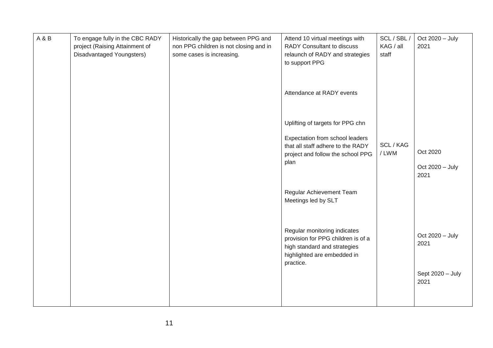| A & B | To engage fully in the CBC RADY<br>project (Raising Attainment of<br>Disadvantaged Youngsters) | Historically the gap between PPG and<br>non PPG children is not closing and in<br>some cases is increasing. | Attend 10 virtual meetings with<br>RADY Consultant to discuss<br>relaunch of RADY and strategies<br>to support PPG                             | SCL/SBL/<br>KAG / all<br>staff | Oct 2020 - July<br>2021  |
|-------|------------------------------------------------------------------------------------------------|-------------------------------------------------------------------------------------------------------------|------------------------------------------------------------------------------------------------------------------------------------------------|--------------------------------|--------------------------|
|       |                                                                                                |                                                                                                             | Attendance at RADY events                                                                                                                      |                                |                          |
|       |                                                                                                |                                                                                                             | Uplifting of targets for PPG chn                                                                                                               |                                |                          |
|       |                                                                                                |                                                                                                             | Expectation from school leaders<br>that all staff adhere to the RADY<br>project and follow the school PPG                                      | SCL / KAG<br>/LWM              | Oct 2020                 |
|       |                                                                                                |                                                                                                             | plan                                                                                                                                           |                                | Oct 2020 - July<br>2021  |
|       |                                                                                                |                                                                                                             | Regular Achievement Team<br>Meetings led by SLT                                                                                                |                                |                          |
|       |                                                                                                |                                                                                                             | Regular monitoring indicates<br>provision for PPG children is of a<br>high standard and strategies<br>highlighted are embedded in<br>practice. |                                | Oct 2020 - July<br>2021  |
|       |                                                                                                |                                                                                                             |                                                                                                                                                |                                | Sept 2020 - July<br>2021 |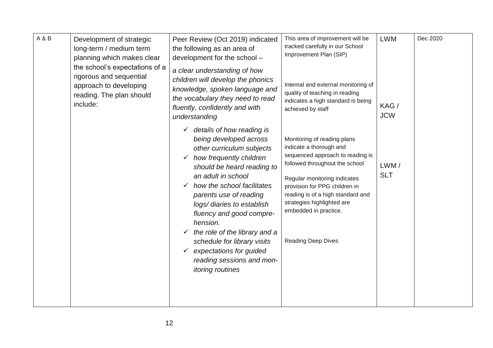| A & B | Development of strategic<br>long-term / medium term<br>planning which makes clear<br>the school's expectations of a<br>rigorous and sequential<br>approach to developing<br>reading. The plan should<br>include: | Peer Review (Oct 2019) indicated<br>the following as an area of<br>development for the school -<br>a clear understanding of how<br>children will develop the phonics<br>knowledge, spoken language and<br>the vocabulary they need to read<br>fluently, confidently and with<br>understanding                                                                                                                                                                                    | This area of improvement will be<br>tracked carefully in our School<br>Improvement Plan (SIP)<br>Internal and external monitoring of<br>quality of teaching in reading<br>indicates a high standard is being<br>achieved by staff                                                                                      | <b>LWM</b><br>KAG/<br><b>JCW</b> | Dec 2020 |
|-------|------------------------------------------------------------------------------------------------------------------------------------------------------------------------------------------------------------------|----------------------------------------------------------------------------------------------------------------------------------------------------------------------------------------------------------------------------------------------------------------------------------------------------------------------------------------------------------------------------------------------------------------------------------------------------------------------------------|------------------------------------------------------------------------------------------------------------------------------------------------------------------------------------------------------------------------------------------------------------------------------------------------------------------------|----------------------------------|----------|
|       |                                                                                                                                                                                                                  | details of how reading is<br>$\checkmark$<br>being developed across<br>other curriculum subjects<br>how frequently children<br>should be heard reading to<br>an adult in school<br>how the school facilitates<br>$\checkmark$<br>parents use of reading<br>logs/ diaries to establish<br>fluency and good compre-<br>hension.<br>the role of the library and a<br>schedule for library visits<br>expectations for guided<br>reading sessions and mon-<br><i>itoring routines</i> | Monitoring of reading plans<br>indicate a thorough and<br>sequenced approach to reading is<br>followed throughout the school<br>Regular monitoring indicates<br>provision for PPG children in<br>reading is of a high standard and<br>strategies highlighted are<br>embedded in practice.<br><b>Reading Deep Dives</b> | LWM/<br><b>SLT</b>               |          |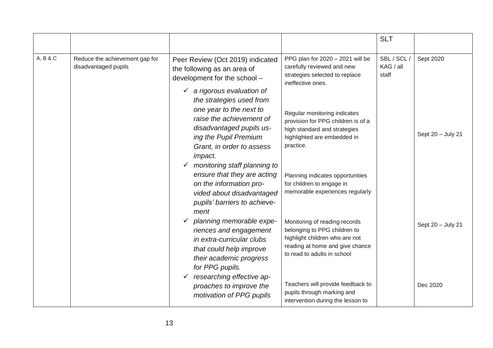|          |                                                                                  |                                                                                                                                                                                                                              |                                                                                                                                                                   | <b>SLT</b>                        |                   |
|----------|----------------------------------------------------------------------------------|------------------------------------------------------------------------------------------------------------------------------------------------------------------------------------------------------------------------------|-------------------------------------------------------------------------------------------------------------------------------------------------------------------|-----------------------------------|-------------------|
| A, B & C | Reduce the achievement gap for<br>disadvantaged pupils                           | Peer Review (Oct 2019) indicated<br>the following as an area of<br>development for the school -                                                                                                                              | PPG plan for 2020 - 2021 will be<br>carefully reviewed and new<br>strategies selected to replace<br>ineffective ones.                                             | SBL / SCL /<br>KAG / all<br>staff | Sept 2020         |
|          |                                                                                  | $\checkmark$ a rigorous evaluation of<br>the strategies used from<br>one year to the next to<br>raise the achievement of<br>disadvantaged pupils us-<br>ing the Pupil Premium<br>Grant, in order to assess<br><i>impact.</i> | Regular monitoring indicates<br>provision for PPG children is of a<br>high standard and strategies<br>highlighted are embedded in<br>practice.                    |                                   | Sept 20 - July 21 |
|          |                                                                                  | $\checkmark$ monitoring staff planning to<br>ensure that they are acting<br>on the information pro-<br>vided about disadvantaged<br>pupils' barriers to achieve-<br>ment                                                     | Planning indicates opportunities<br>for children to engage in<br>memorable experiences regularly                                                                  |                                   |                   |
|          |                                                                                  | planning memorable expe-<br>riences and engagement<br>in extra-curricular clubs<br>that could help improve<br>their academic progress<br>for PPG pupils.                                                                     | Monitoring of reading records<br>belonging to PPG children to<br>highlight children who are not<br>reading at home and give chance<br>to read to adults in school |                                   | Sept 20 - July 21 |
|          | researching effective ap-<br>proaches to improve the<br>motivation of PPG pupils | Teachers will provide feedback to<br>pupils through marking and<br>intervention during the lesson to                                                                                                                         |                                                                                                                                                                   | Dec 2020                          |                   |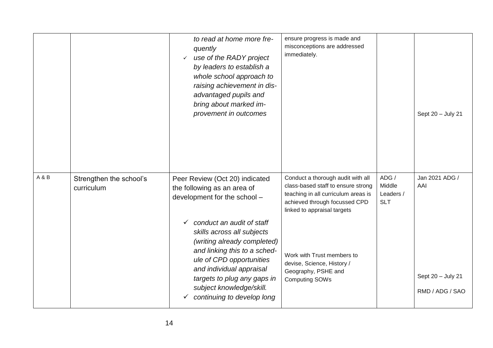|       |                                       | to read at home more fre-<br>quently<br>use of the RADY project<br>$\checkmark$<br>by leaders to establish a<br>whole school approach to<br>raising achievement in dis-<br>advantaged pupils and<br>bring about marked im-<br>provement in outcomes                          | ensure progress is made and<br>misconceptions are addressed<br>immediately.                                                                                                    |                                            | Sept 20 - July 21                    |
|-------|---------------------------------------|------------------------------------------------------------------------------------------------------------------------------------------------------------------------------------------------------------------------------------------------------------------------------|--------------------------------------------------------------------------------------------------------------------------------------------------------------------------------|--------------------------------------------|--------------------------------------|
| A & B | Strengthen the school's<br>curriculum | Peer Review (Oct 20) indicated<br>the following as an area of<br>development for the school -                                                                                                                                                                                | Conduct a thorough audit with all<br>class-based staff to ensure strong<br>teaching in all curriculum areas is<br>achieved through focussed CPD<br>linked to appraisal targets | ADG /<br>Middle<br>Leaders /<br><b>SLT</b> | Jan 2021 ADG /<br>AAI                |
|       |                                       | conduct an audit of staff<br>✓<br>skills across all subjects<br>(writing already completed)<br>and linking this to a sched-<br>ule of CPD opportunities<br>and individual appraisal<br>targets to plug any gaps in<br>subject knowledge/skill.<br>continuing to develop long | Work with Trust members to<br>devise, Science, History /<br>Geography, PSHE and<br><b>Computing SOWs</b>                                                                       |                                            | Sept 20 - July 21<br>RMD / ADG / SAO |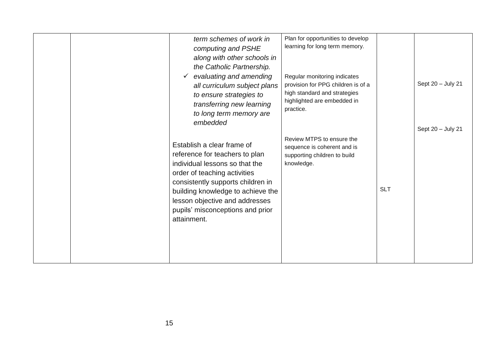|  | term schemes of work in<br>computing and PSHE<br>along with other schools in<br>the Catholic Partnership.<br>evaluating and amending<br>all curriculum subject plans<br>to ensure strategies to<br>transferring new learning<br>to long term memory are<br>embedded                           | Plan for opportunities to develop<br>learning for long term memory.<br>Regular monitoring indicates<br>provision for PPG children is of a<br>high standard and strategies<br>highlighted are embedded in<br>practice. |            | Sept 20 - July 21<br>Sept 20 - July 21 |
|--|-----------------------------------------------------------------------------------------------------------------------------------------------------------------------------------------------------------------------------------------------------------------------------------------------|-----------------------------------------------------------------------------------------------------------------------------------------------------------------------------------------------------------------------|------------|----------------------------------------|
|  | Establish a clear frame of<br>reference for teachers to plan<br>individual lessons so that the<br>order of teaching activities<br>consistently supports children in<br>building knowledge to achieve the<br>lesson objective and addresses<br>pupils' misconceptions and prior<br>attainment. | Review MTPS to ensure the<br>sequence is coherent and is<br>supporting children to build<br>knowledge.                                                                                                                | <b>SLT</b> |                                        |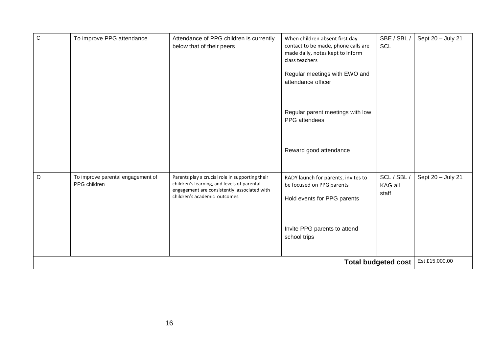| $\mathsf C$ | To improve PPG attendance                         | Attendance of PPG children is currently<br>below that of their peers                                                                                                           | When children absent first day<br>contact to be made, phone calls are<br>made daily, notes kept to inform<br>class teachers<br>Regular meetings with EWO and<br>attendance officer<br>Regular parent meetings with low<br>PPG attendees | SBE / SBL /<br><b>SCL</b>       | Sept 20 - July 21 |
|-------------|---------------------------------------------------|--------------------------------------------------------------------------------------------------------------------------------------------------------------------------------|-----------------------------------------------------------------------------------------------------------------------------------------------------------------------------------------------------------------------------------------|---------------------------------|-------------------|
|             |                                                   |                                                                                                                                                                                | Reward good attendance                                                                                                                                                                                                                  |                                 |                   |
| D           | To improve parental engagement of<br>PPG children | Parents play a crucial role in supporting their<br>children's learning, and levels of parental<br>engagement are consistently associated with<br>children's academic outcomes. | RADY launch for parents, invites to<br>be focused on PPG parents<br>Hold events for PPG parents<br>Invite PPG parents to attend                                                                                                         | SCL / SBL /<br>KAG all<br>staff | Sept 20 - July 21 |
|             |                                                   |                                                                                                                                                                                | school trips                                                                                                                                                                                                                            |                                 |                   |
|             |                                                   |                                                                                                                                                                                |                                                                                                                                                                                                                                         | <b>Total budgeted cost</b>      | Est £15,000.00    |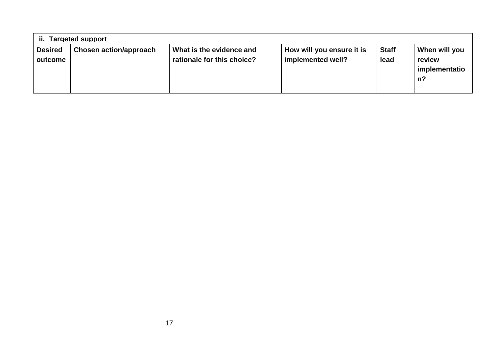| ii.                       | <b>Targeted support</b>       |                                                        |                                                |                      |                                               |  |  |  |  |
|---------------------------|-------------------------------|--------------------------------------------------------|------------------------------------------------|----------------------|-----------------------------------------------|--|--|--|--|
| <b>Desired</b><br>outcome | <b>Chosen action/approach</b> | What is the evidence and<br>rationale for this choice? | How will you ensure it is<br>implemented well? | <b>Staff</b><br>lead | When will you<br>review<br>implementatio<br>n |  |  |  |  |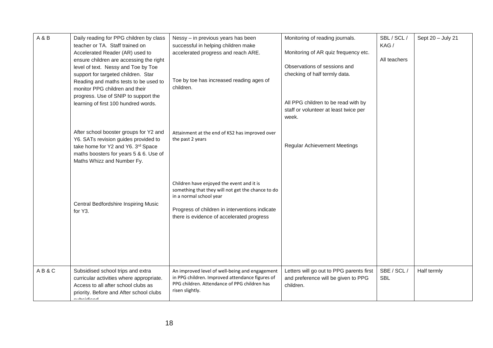| A & B | Daily reading for PPG children by class<br>teacher or TA. Staff trained on<br>Accelerated Reader (AR) used to<br>ensure children are accessing the right<br>level of text. Nessy and Toe by Toe<br>support for targeted children. Star<br>Reading and maths tests to be used to<br>monitor PPG children and their<br>progress. Use of SNIP to support the<br>learning of first 100 hundred words. | Nessy - in previous years has been<br>successful in helping children make<br>accelerated progress and reach ARE.<br>Toe by toe has increased reading ages of<br>children.                                                | Monitoring of reading journals.<br>Monitoring of AR quiz frequency etc.<br>Observations of sessions and<br>checking of half termly data.<br>All PPG children to be read with by<br>staff or volunteer at least twice per<br>week. | SBL / SCL /<br>KAG/<br>All teachers | Sept 20 - July 21 |
|-------|---------------------------------------------------------------------------------------------------------------------------------------------------------------------------------------------------------------------------------------------------------------------------------------------------------------------------------------------------------------------------------------------------|--------------------------------------------------------------------------------------------------------------------------------------------------------------------------------------------------------------------------|-----------------------------------------------------------------------------------------------------------------------------------------------------------------------------------------------------------------------------------|-------------------------------------|-------------------|
|       | After school booster groups for Y2 and<br>Y6. SATs revision guides provided to<br>take home for Y2 and Y6. 3rd Space<br>maths boosters for years 5 & 6. Use of<br>Maths Whizz and Number Fy.                                                                                                                                                                                                      | Attainment at the end of KS2 has improved over<br>the past 2 years                                                                                                                                                       | <b>Regular Achievement Meetings</b>                                                                                                                                                                                               |                                     |                   |
|       | Central Bedfordshire Inspiring Music<br>for Y3.                                                                                                                                                                                                                                                                                                                                                   | Children have enjoyed the event and it is<br>something that they will not get the chance to do<br>in a normal school year<br>Progress of children in interventions indicate<br>there is evidence of accelerated progress |                                                                                                                                                                                                                                   |                                     |                   |
| AB&C  | Subsidised school trips and extra<br>curricular activities where appropriate.<br>Access to all after school clubs as<br>priority. Before and After school clubs<br>أأمرتم والملاوية والرواد                                                                                                                                                                                                       | An improved level of well-being and engagement<br>in PPG children. Improved attendance figures of<br>PPG children. Attendance of PPG children has<br>risen slightly.                                                     | Letters will go out to PPG parents first<br>and preference will be given to PPG<br>children.                                                                                                                                      | SBE / SCL /<br><b>SBL</b>           | Half termly       |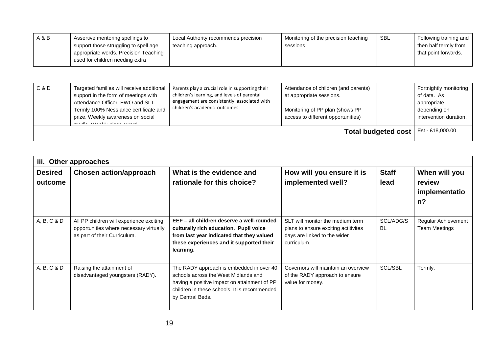| A & B | Assertive mentoring spellings to<br>support those struggling to spell age<br>appropriate words. Precision Teaching<br>used for children needing extra | Local Authority recommends precision<br>teaching approach. | Monitoring of the precision teaching<br>sessions. | SBL | Following training and<br>then half termly from<br>that point forwards. |
|-------|-------------------------------------------------------------------------------------------------------------------------------------------------------|------------------------------------------------------------|---------------------------------------------------|-----|-------------------------------------------------------------------------|
|-------|-------------------------------------------------------------------------------------------------------------------------------------------------------|------------------------------------------------------------|---------------------------------------------------|-----|-------------------------------------------------------------------------|

| C & D               | Targeted families will receive additional<br>support in the form of meetings with<br>Attendance Officer, EWO and SLT.<br>Termly 100% Ness ance certificate and<br>prize. Weekly awareness on social<br>and all all Marchine almost account | Parents play a crucial role in supporting their<br>children's learning, and levels of parental<br>engagement are consistently associated with<br>children's academic outcomes. | Attendance of children (and parents)<br>at appropriate sessions.<br>Monitoring of PP plan (shows PP<br>access to different opportunities) |                  | Fortnightly monitoring<br>of data. As<br>appropriate<br>depending on<br>intervention duration. |
|---------------------|--------------------------------------------------------------------------------------------------------------------------------------------------------------------------------------------------------------------------------------------|--------------------------------------------------------------------------------------------------------------------------------------------------------------------------------|-------------------------------------------------------------------------------------------------------------------------------------------|------------------|------------------------------------------------------------------------------------------------|
| Total budgeted cost |                                                                                                                                                                                                                                            |                                                                                                                                                                                |                                                                                                                                           | Est - £18,000.00 |                                                                                                |

| iii. Other approaches     |                                                                                                                     |                                                                                                                                                                                                      |                                                                                                                         |                        |                                               |
|---------------------------|---------------------------------------------------------------------------------------------------------------------|------------------------------------------------------------------------------------------------------------------------------------------------------------------------------------------------------|-------------------------------------------------------------------------------------------------------------------------|------------------------|-----------------------------------------------|
| <b>Desired</b><br>outcome | <b>Chosen action/approach</b>                                                                                       | What is the evidence and<br>rationale for this choice?                                                                                                                                               | How will you ensure it is<br>implemented well?                                                                          | <b>Staff</b><br>lead   | When will you<br>review<br>implementatio<br>n |
| A, B, C & D               | All PP children will experience exciting<br>opportunities where necessary virtually<br>as part of their Curriculum. | EEF - all children deserve a well-rounded<br>culturally rich education. Pupil voice<br>from last year indicated that they valued<br>these experiences and it supported their<br>learning.            | SLT will monitor the medium term<br>plans to ensure exciting actitivites<br>days are linked to the wider<br>curriculum. | SCL/ADG/S<br><b>BL</b> | Regular Achievement<br><b>Team Meetings</b>   |
| A, B, C & D               | Raising the attainment of<br>disadvantaged youngsters (RADY).                                                       | The RADY approach is embedded in over 40<br>schools across the West Midlands and<br>having a positive impact on attainment of PP<br>children in these schools. It is recommended<br>by Central Beds. | Governors will maintain an overview<br>of the RADY approach to ensure<br>value for money.                               | <b>SCL/SBL</b>         | Termly.                                       |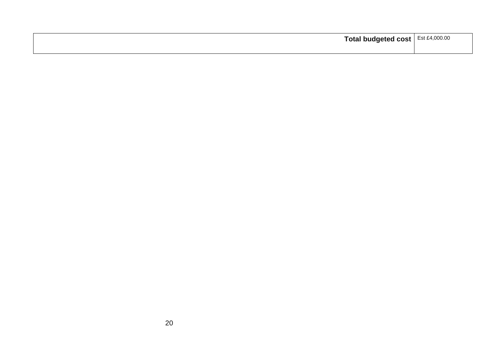| Total budgeted cost | Est £4,000.00 |
|---------------------|---------------|
|                     |               |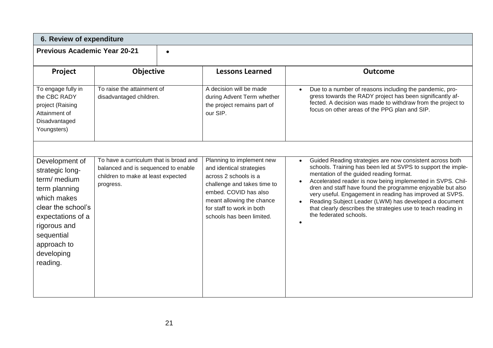| 6. Review of expenditure                                                                                                                                                                                                                                                                                                                |                                                       |                                                                                                                                                                                                                               |                                                                                                                                                                                                                                                                                                                                                                                                                                                                                                                 |  |
|-----------------------------------------------------------------------------------------------------------------------------------------------------------------------------------------------------------------------------------------------------------------------------------------------------------------------------------------|-------------------------------------------------------|-------------------------------------------------------------------------------------------------------------------------------------------------------------------------------------------------------------------------------|-----------------------------------------------------------------------------------------------------------------------------------------------------------------------------------------------------------------------------------------------------------------------------------------------------------------------------------------------------------------------------------------------------------------------------------------------------------------------------------------------------------------|--|
| <b>Previous Academic Year 20-21</b><br>$\bullet$                                                                                                                                                                                                                                                                                        |                                                       |                                                                                                                                                                                                                               |                                                                                                                                                                                                                                                                                                                                                                                                                                                                                                                 |  |
| Project                                                                                                                                                                                                                                                                                                                                 | <b>Objective</b>                                      | <b>Lessons Learned</b>                                                                                                                                                                                                        | <b>Outcome</b>                                                                                                                                                                                                                                                                                                                                                                                                                                                                                                  |  |
| To engage fully in<br>the CBC RADY<br>project (Raising<br>Attainment of<br>Disadvantaged<br>Youngsters)                                                                                                                                                                                                                                 | To raise the attainment of<br>disadvantaged children. | A decision will be made<br>during Advent Term whether<br>the project remains part of<br>our SIP.                                                                                                                              | Due to a number of reasons including the pandemic, pro-<br>gress towards the RADY project has been significantly af-<br>fected. A decision was made to withdraw from the project to<br>focus on other areas of the PPG plan and SIP.                                                                                                                                                                                                                                                                            |  |
| To have a curriculum that is broad and<br>Development of<br>balanced and is sequenced to enable<br>strategic long-<br>children to make at least expected<br>term/ medium<br>progress.<br>term planning<br>which makes<br>clear the school's<br>expectations of a<br>rigorous and<br>sequential<br>approach to<br>developing<br>reading. |                                                       | Planning to implement new<br>and identical strategies<br>across 2 schools is a<br>challenge and takes time to<br>embed. COVID has also<br>meant allowing the chance<br>for staff to work in both<br>schools has been limited. | Guided Reading strategies are now consistent across both<br>schools. Training has been led at SVPS to support the imple-<br>mentation of the guided reading format.<br>Accelerated reader is now being implemented in SVPS. Chil-<br>dren and staff have found the programme enjoyable but also<br>very useful. Engagement in reading has improved at SVPS.<br>Reading Subject Leader (LWM) has developed a document<br>that clearly describes the strategies use to teach reading in<br>the federated schools. |  |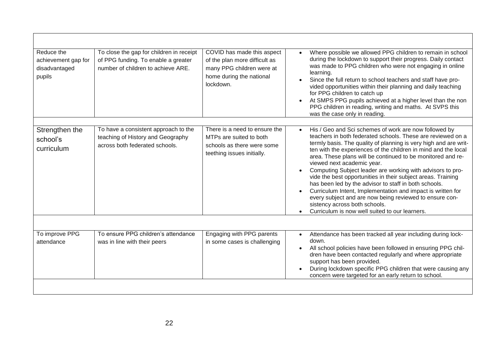| Reduce the<br>achievement gap for<br>disadvantaged<br>pupils | To close the gap for children in receipt<br>of PPG funding. To enable a greater<br>number of children to achieve ARE. | COVID has made this aspect<br>of the plan more difficult as<br>many PPG children were at<br>home during the national<br>lockdown. | Where possible we allowed PPG children to remain in school<br>during the lockdown to support their progress. Daily contact<br>was made to PPG children who were not engaging in online<br>learning.<br>Since the full return to school teachers and staff have pro-<br>vided opportunities within their planning and daily teaching<br>for PPG children to catch up<br>At SMPS PPG pupils achieved at a higher level than the non<br>PPG children in reading, writing and maths. At SVPS this<br>was the case only in reading.                                                                                                                                                                                                                              |
|--------------------------------------------------------------|-----------------------------------------------------------------------------------------------------------------------|-----------------------------------------------------------------------------------------------------------------------------------|-------------------------------------------------------------------------------------------------------------------------------------------------------------------------------------------------------------------------------------------------------------------------------------------------------------------------------------------------------------------------------------------------------------------------------------------------------------------------------------------------------------------------------------------------------------------------------------------------------------------------------------------------------------------------------------------------------------------------------------------------------------|
| Strengthen the<br>school's<br>curriculum                     | To have a consistent approach to the<br>teaching of History and Geography<br>across both federated schools.           | There is a need to ensure the<br>MTPs are suited to both<br>schools as there were some<br>teething issues initially.              | His / Geo and Sci schemes of work are now followed by<br>teachers in both federated schools. These are reviewed on a<br>termly basis. The quality of planning is very high and are writ-<br>ten with the experiences of the children in mind and the local<br>area. These plans will be continued to be monitored and re-<br>viewed next academic year.<br>Computing Subject leader are working with advisors to pro-<br>vide the best opportunities in their subject areas. Training<br>has been led by the advisor to staff in both schools.<br>Curriculum Intent, Implementation and impact is written for<br>every subject and are now being reviewed to ensure con-<br>sistency across both schools.<br>Curriculum is now well suited to our learners. |
| To improve PPG<br>attendance                                 | To ensure PPG children's attendance<br>was in line with their peers                                                   | Engaging with PPG parents<br>in some cases is challenging                                                                         | Attendance has been tracked all year including during lock-<br>$\bullet$<br>down.<br>All school policies have been followed in ensuring PPG chil-<br>dren have been contacted regularly and where appropriate<br>support has been provided.<br>During lockdown specific PPG children that were causing any<br>concern were targeted for an early return to school.                                                                                                                                                                                                                                                                                                                                                                                          |